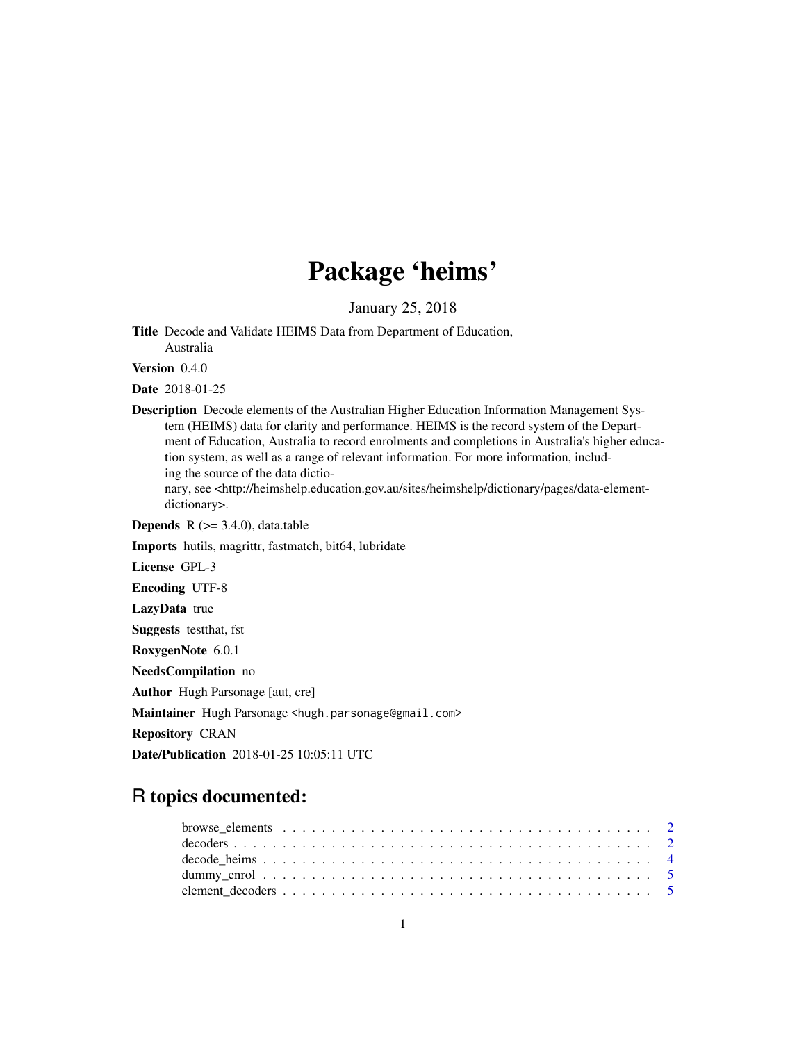# Package 'heims'

January 25, 2018

Title Decode and Validate HEIMS Data from Department of Education, Australia

Version 0.4.0

Date 2018-01-25

Description Decode elements of the Australian Higher Education Information Management System (HEIMS) data for clarity and performance. HEIMS is the record system of the Department of Education, Australia to record enrolments and completions in Australia's higher education system, as well as a range of relevant information. For more information, including the source of the data dictio-

nary, see <http://heimshelp.education.gov.au/sites/heimshelp/dictionary/pages/data-elementdictionary>.

**Depends**  $R$  ( $>= 3.4.0$ ), data.table

Imports hutils, magrittr, fastmatch, bit64, lubridate

License GPL-3

Encoding UTF-8

LazyData true

Suggests testthat, fst

RoxygenNote 6.0.1

NeedsCompilation no

Author Hugh Parsonage [aut, cre]

Maintainer Hugh Parsonage <hugh.parsonage@gmail.com>

Repository CRAN

Date/Publication 2018-01-25 10:05:11 UTC

## R topics documented: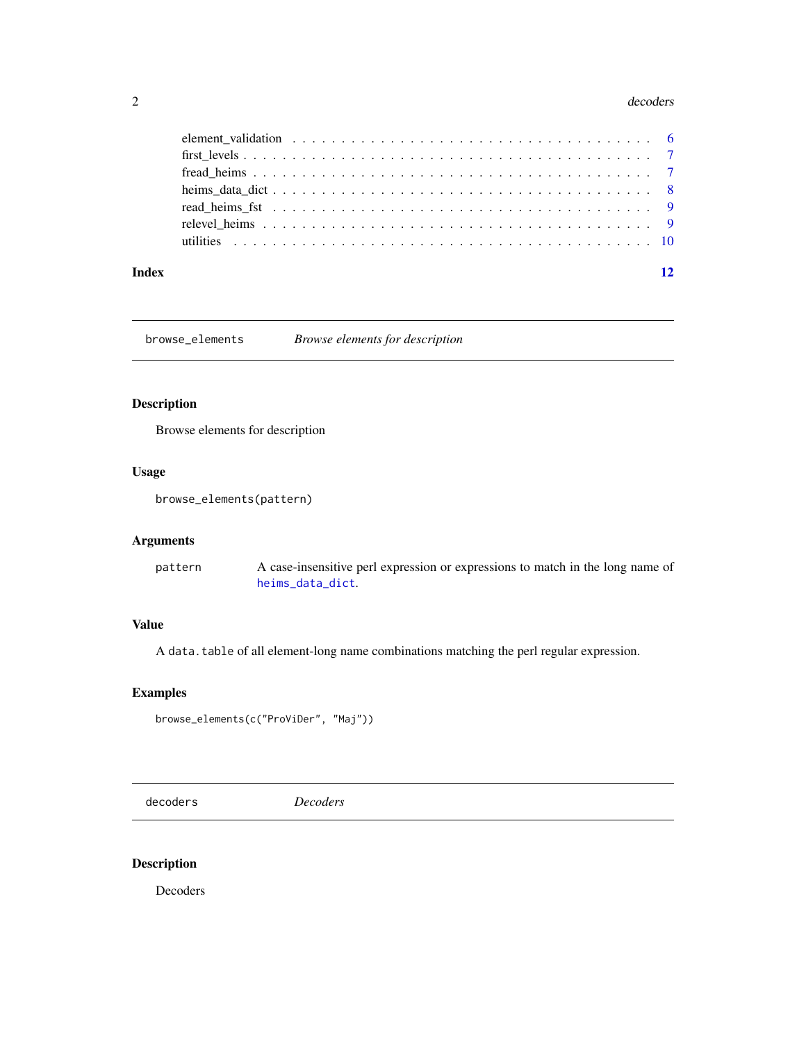#### <span id="page-1-0"></span>2 decoders and  $\alpha$  decoders and  $\alpha$  decoders and  $\alpha$  decoders are  $\alpha$  decoders as  $\alpha$

| Index |                                                                                                          | 12 |
|-------|----------------------------------------------------------------------------------------------------------|----|
|       |                                                                                                          |    |
|       |                                                                                                          |    |
|       |                                                                                                          |    |
|       |                                                                                                          |    |
|       |                                                                                                          |    |
|       |                                                                                                          |    |
|       | element_validation $\ldots \ldots \ldots \ldots \ldots \ldots \ldots \ldots \ldots \ldots \ldots \ldots$ |    |

<span id="page-1-1"></span>browse\_elements *Browse elements for description*

#### Description

Browse elements for description

#### Usage

browse\_elements(pattern)

#### Arguments

pattern A case-insensitive perl expression or expressions to match in the long name of [heims\\_data\\_dict](#page-7-1).

#### Value

A data.table of all element-long name combinations matching the perl regular expression.

#### Examples

```
browse_elements(c("ProViDer", "Maj"))
```
decoders *Decoders*

#### Description

Decoders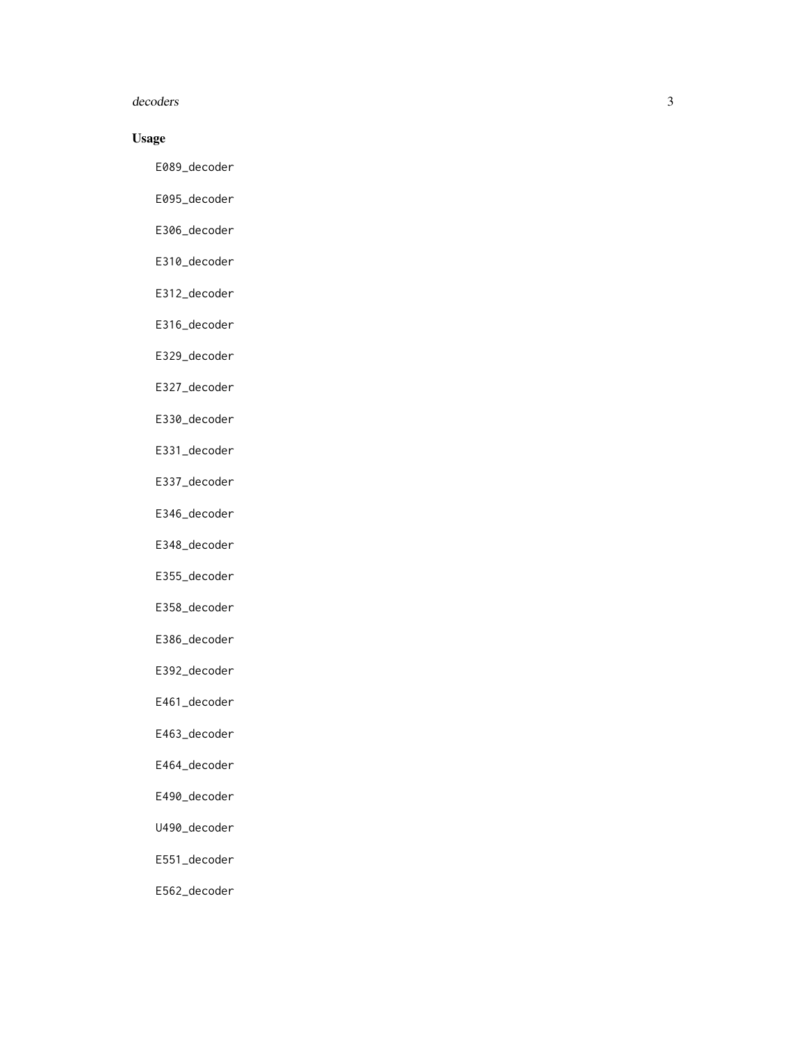#### decoders

#### Usage

E089\_decoder

- E095\_decoder
- E306\_decoder
- E310\_decoder
- E312\_decoder
- E316\_decoder
- E329\_decoder
- E327\_decoder
- E330\_decoder
- E331\_decoder
- E337\_decoder
- E346\_decoder
- E348\_decoder
- E355\_decoder
- E358\_decoder
- E386\_decoder
- E392\_decoder
- E461\_decoder
- E463\_decoder
- E464\_decoder
- E490\_decoder
- U490\_decoder
- E551\_decoder
- E562\_decoder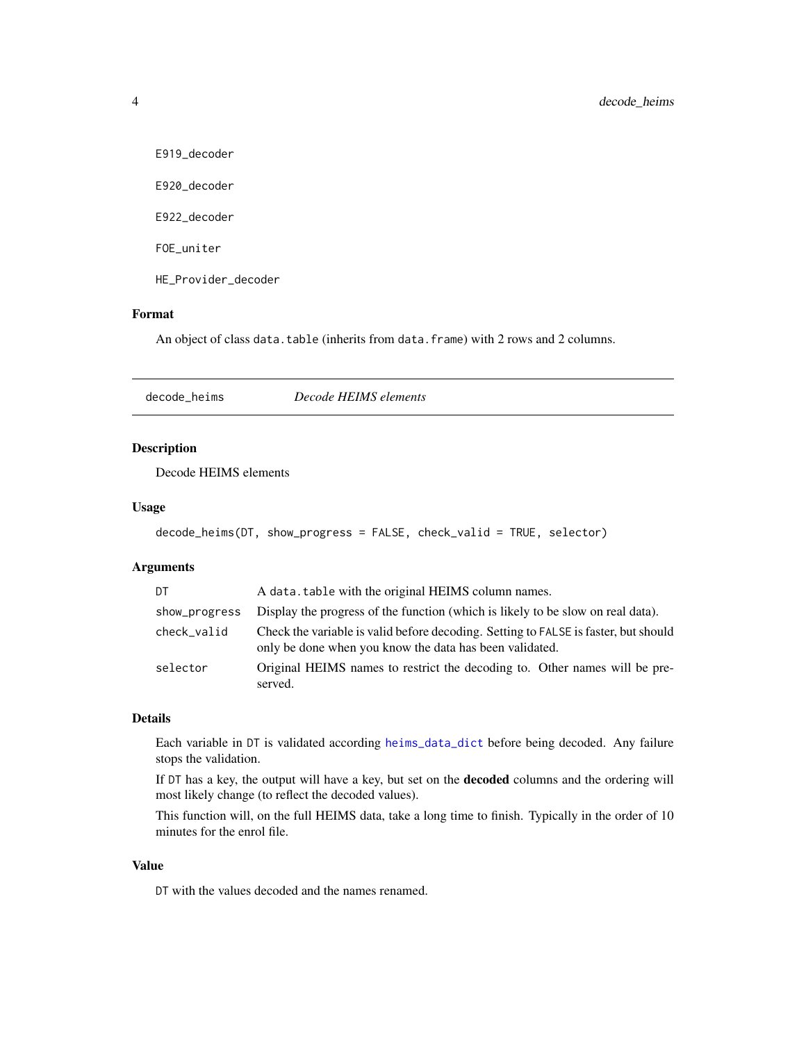<span id="page-3-0"></span>E919\_decoder

E920\_decoder

E922\_decoder

FOE\_uniter

HE\_Provider\_decoder

#### Format

An object of class data.table (inherits from data.frame) with 2 rows and 2 columns.

<span id="page-3-1"></span>decode\_heims *Decode HEIMS elements*

#### Description

Decode HEIMS elements

#### Usage

```
decode_heims(DT, show_progress = FALSE, check_valid = TRUE, selector)
```
#### Arguments

| DT            | A data. table with the original HEIMS column names.                                                                                            |
|---------------|------------------------------------------------------------------------------------------------------------------------------------------------|
| show_progress | Display the progress of the function (which is likely to be slow on real data).                                                                |
| check_valid   | Check the variable is valid before decoding. Setting to FALSE is faster, but should<br>only be done when you know the data has been validated. |
| selector      | Original HEIMS names to restrict the decoding to. Other names will be pre-<br>served.                                                          |

#### Details

Each variable in DT is validated according [heims\\_data\\_dict](#page-7-1) before being decoded. Any failure stops the validation.

If DT has a key, the output will have a key, but set on the decoded columns and the ordering will most likely change (to reflect the decoded values).

This function will, on the full HEIMS data, take a long time to finish. Typically in the order of 10 minutes for the enrol file.

#### Value

DT with the values decoded and the names renamed.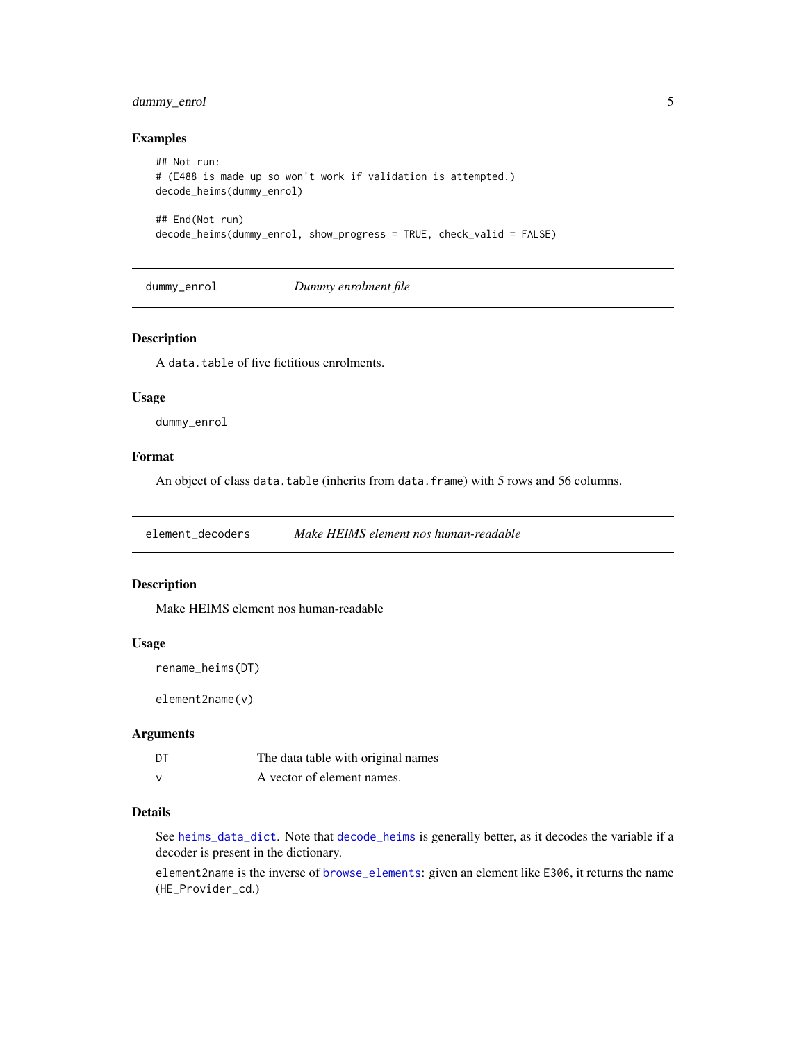#### <span id="page-4-0"></span>dummy\_enrol 5

#### Examples

```
## Not run:
# (E488 is made up so won't work if validation is attempted.)
decode_heims(dummy_enrol)
## End(Not run)
decode_heims(dummy_enrol, show_progress = TRUE, check_valid = FALSE)
```
dummy\_enrol *Dummy enrolment file*

#### Description

A data.table of five fictitious enrolments.

#### Usage

dummy\_enrol

#### Format

An object of class data.table (inherits from data.frame) with 5 rows and 56 columns.

element\_decoders *Make HEIMS element nos human-readable*

#### Description

Make HEIMS element nos human-readable

#### Usage

```
rename_heims(DT)
```
element2name(v)

#### Arguments

| DT | The data table with original names |
|----|------------------------------------|
| v  | A vector of element names.         |

#### Details

See [heims\\_data\\_dict](#page-7-1). Note that [decode\\_heims](#page-3-1) is generally better, as it decodes the variable if a decoder is present in the dictionary.

element2name is the inverse of [browse\\_elements](#page-1-1): given an element like E306, it returns the name (HE\_Provider\_cd.)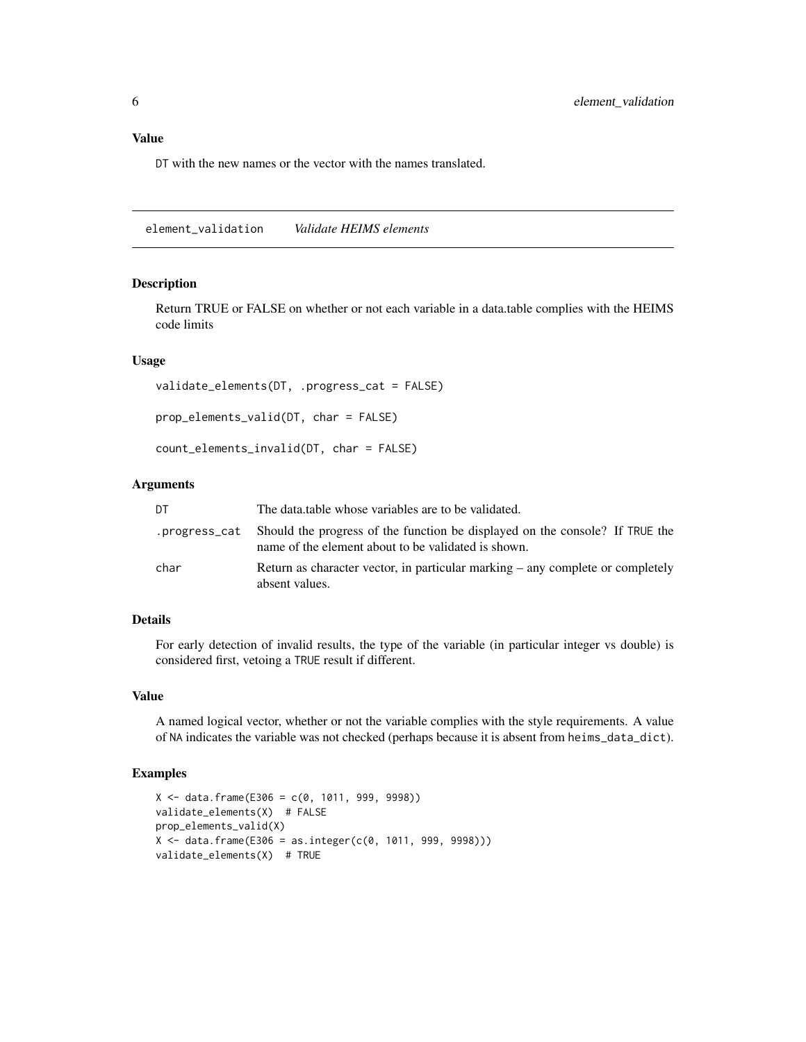#### <span id="page-5-0"></span>Value

DT with the new names or the vector with the names translated.

element\_validation *Validate HEIMS elements*

#### Description

Return TRUE or FALSE on whether or not each variable in a data.table complies with the HEIMS code limits

#### Usage

```
validate_elements(DT, .progress_cat = FALSE)
```
prop\_elements\_valid(DT, char = FALSE)

count\_elements\_invalid(DT, char = FALSE)

#### Arguments

| DT   | The data table whose variables are to be validated.                                                                                              |
|------|--------------------------------------------------------------------------------------------------------------------------------------------------|
|      | progress_cat Should the progress of the function be displayed on the console? If TRUE the<br>name of the element about to be validated is shown. |
| char | Return as character vector, in particular marking – any complete or completely<br>absent values.                                                 |

#### Details

For early detection of invalid results, the type of the variable (in particular integer vs double) is considered first, vetoing a TRUE result if different.

#### Value

A named logical vector, whether or not the variable complies with the style requirements. A value of NA indicates the variable was not checked (perhaps because it is absent from heims\_data\_dict).

#### Examples

```
X \le - data.frame(E306 = c(0, 1011, 999, 9998))
validate_elements(X) # FALSE
prop_elements_valid(X)
X \le - data.frame(E306 = as.integer(c(0, 1011, 999, 9998)))
validate_elements(X) # TRUE
```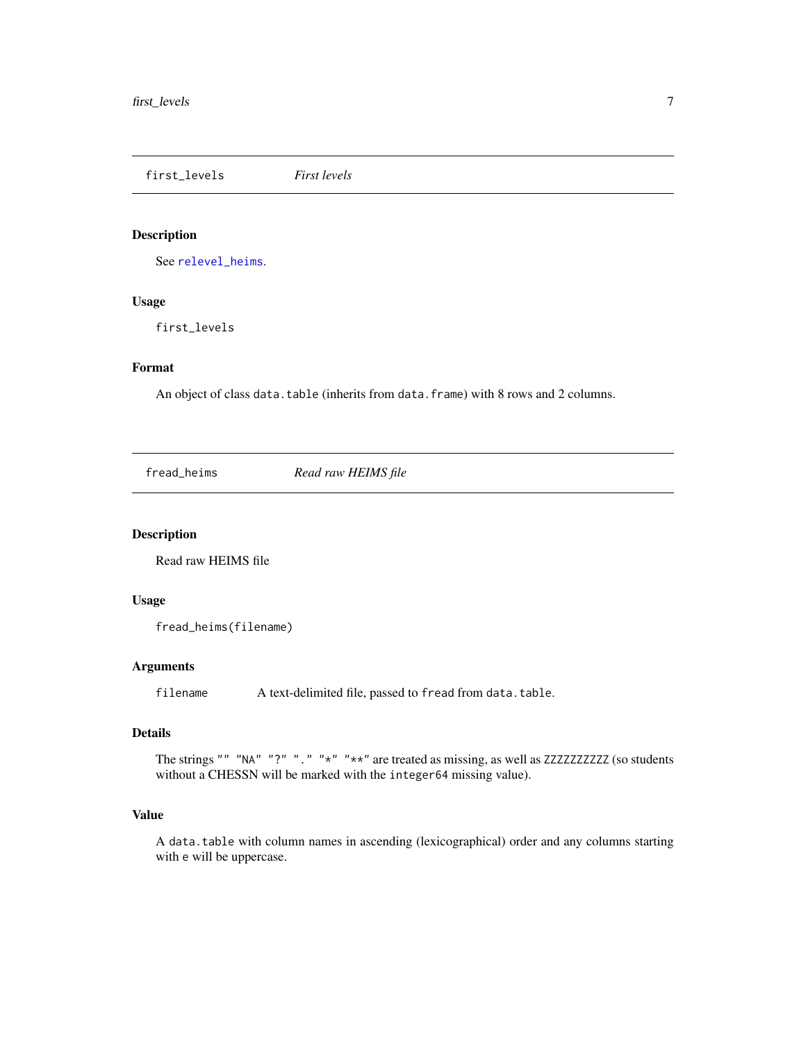<span id="page-6-0"></span>first\_levels *First levels*

#### Description

See [relevel\\_heims](#page-8-1).

#### Usage

first\_levels

#### Format

An object of class data.table (inherits from data.frame) with 8 rows and 2 columns.

fread\_heims *Read raw HEIMS file*

#### Description

Read raw HEIMS file

#### Usage

```
fread_heims(filename)
```
#### Arguments

filename A text-delimited file, passed to fread from data.table.

### Details

The strings "" "NA" "?" "." "\*" "\*\*" are treated as missing, as well as ZZZZZZZZZZZ (so students without a CHESSN will be marked with the integer64 missing value).

#### Value

A data.table with column names in ascending (lexicographical) order and any columns starting with e will be uppercase.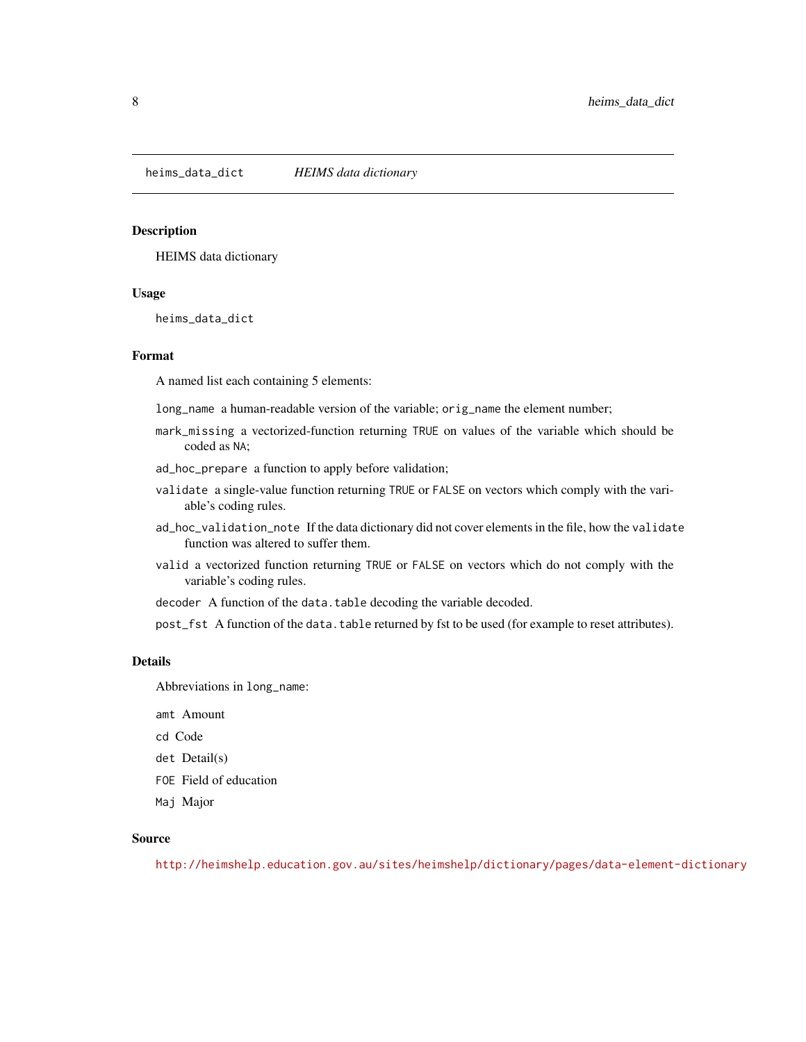<span id="page-7-1"></span><span id="page-7-0"></span>heims\_data\_dict *HEIMS data dictionary*

#### Description

HEIMS data dictionary

#### Usage

heims\_data\_dict

#### Format

A named list each containing 5 elements:

long\_name a human-readable version of the variable; orig\_name the element number;

mark\_missing a vectorized-function returning TRUE on values of the variable which should be coded as NA;

ad\_hoc\_prepare a function to apply before validation;

- validate a single-value function returning TRUE or FALSE on vectors which comply with the variable's coding rules.
- ad\_hoc\_validation\_note If the data dictionary did not cover elements in the file, how the validate function was altered to suffer them.
- valid a vectorized function returning TRUE or FALSE on vectors which do not comply with the variable's coding rules.
- decoder A function of the data.table decoding the variable decoded.

post\_fst A function of the data.table returned by fst to be used (for example to reset attributes).

#### Details

Abbreviations in long\_name:

amt Amount

cd Code

- det Detail(s)
- FOE Field of education
- Maj Major

#### Source

<http://heimshelp.education.gov.au/sites/heimshelp/dictionary/pages/data-element-dictionary>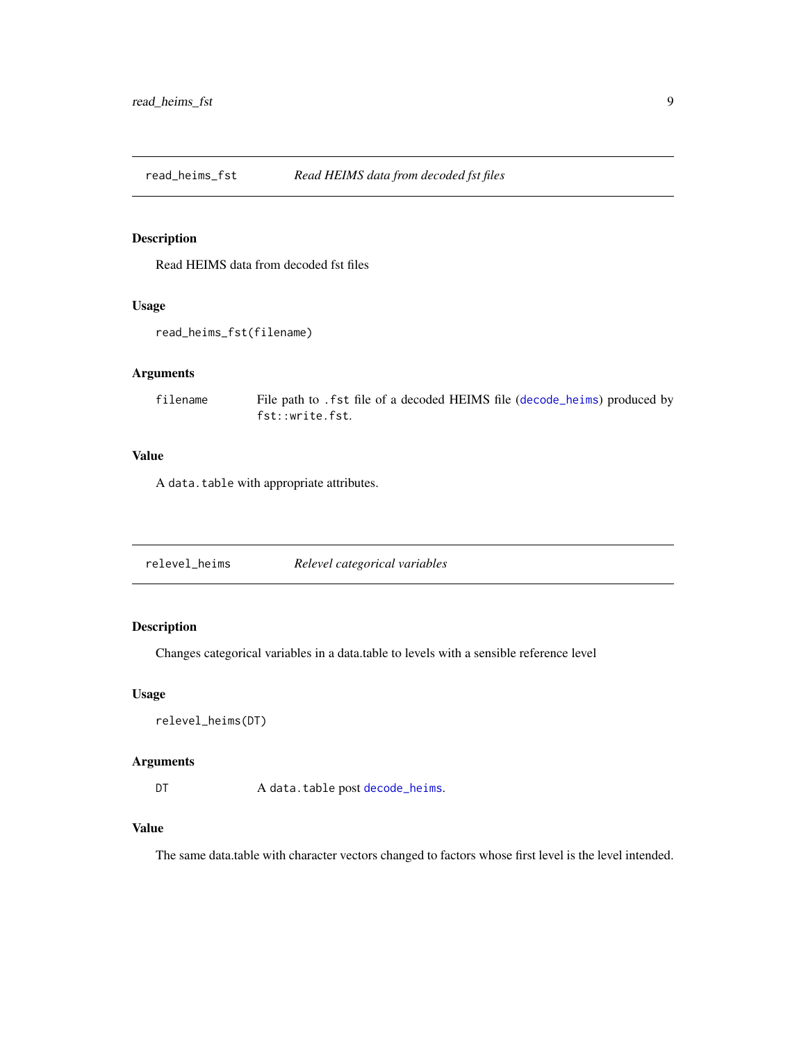<span id="page-8-0"></span>read\_heims\_fst *Read HEIMS data from decoded fst files*

#### Description

Read HEIMS data from decoded fst files

#### Usage

```
read_heims_fst(filename)
```
#### Arguments

filename File path to .fst file of a decoded HEIMS file ([decode\\_heims](#page-3-1)) produced by fst::write.fst.

#### Value

A data.table with appropriate attributes.

<span id="page-8-1"></span>

#### Description

Changes categorical variables in a data.table to levels with a sensible reference level

#### Usage

```
relevel_heims(DT)
```
#### Arguments

DT A data.table post [decode\\_heims](#page-3-1).

#### Value

The same data.table with character vectors changed to factors whose first level is the level intended.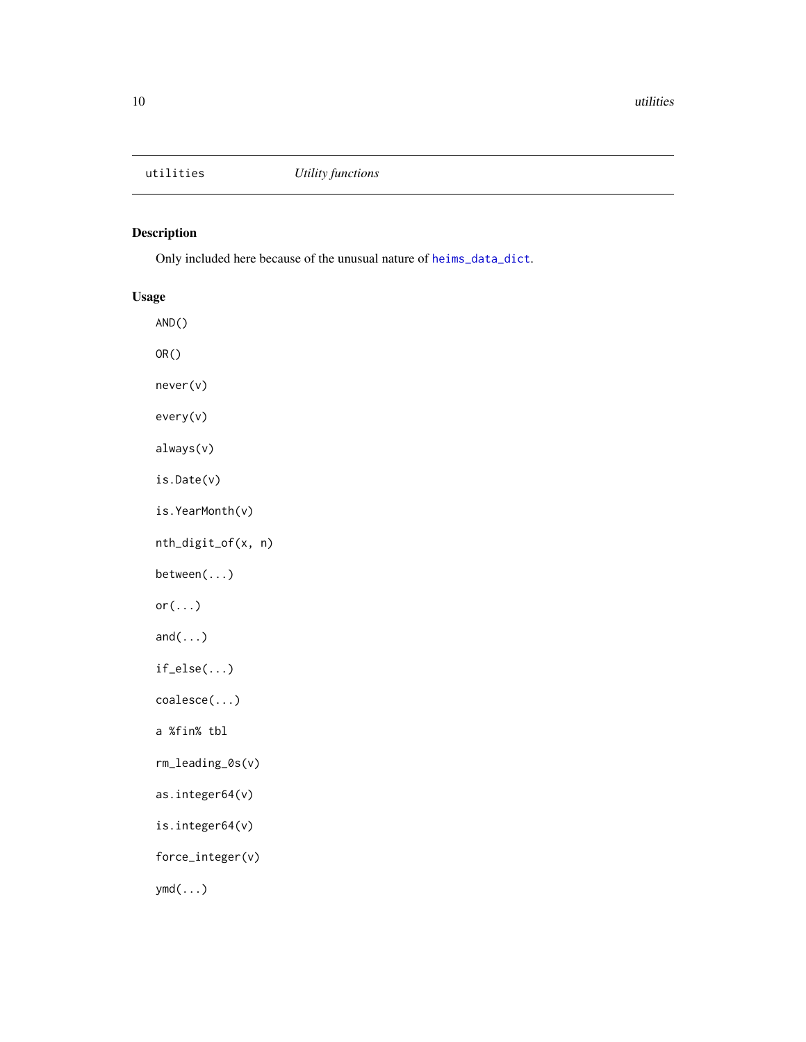<span id="page-9-0"></span>

#### Description

Only included here because of the unusual nature of [heims\\_data\\_dict](#page-7-1).

#### Usage

AND() OR() never(v) every(v) always(v) is.Date(v) is.YearMonth(v) nth\_digit\_of(x, n) between(...)  $or(...)$  $and(\ldots)$ if\_else(...) coalesce(...) a %fin% tbl rm\_leading\_0s(v) as.integer64(v) is.integer64(v) force\_integer(v) ymd(...)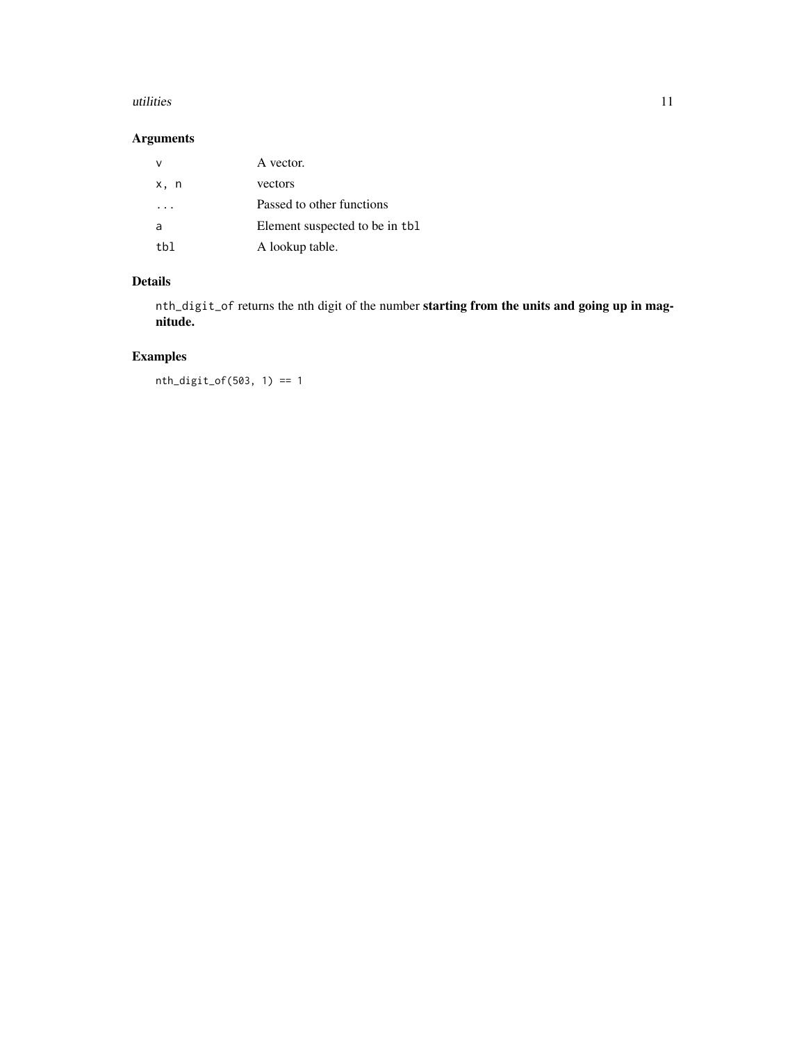#### utilities and the contract of the contract of the contract of the contract of the contract of the contract of the contract of the contract of the contract of the contract of the contract of the contract of the contract of

#### Arguments

| ν    | A vector.                      |
|------|--------------------------------|
| x, n | vectors                        |
|      | Passed to other functions      |
| a    | Element suspected to be in the |
| th1  | A lookup table.                |

#### Details

nth\_digit\_of returns the nth digit of the number starting from the units and going up in magnitude.

### Examples

nth\_digit\_of(503, 1) == 1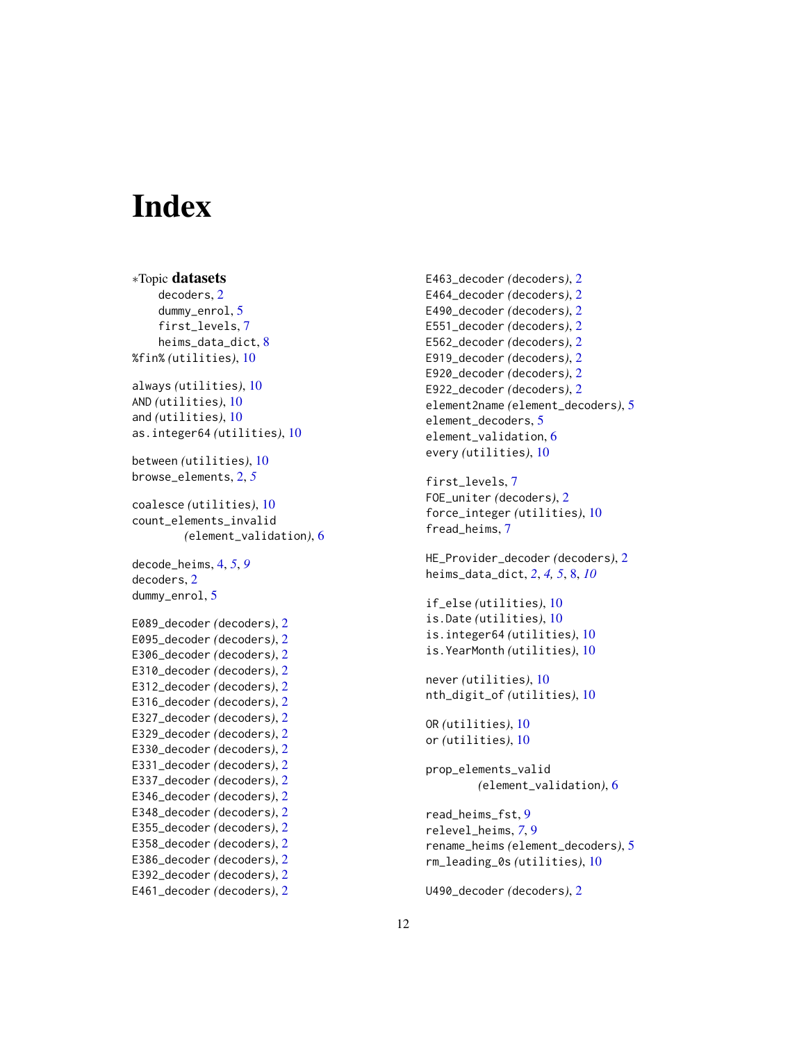# <span id="page-11-0"></span>**Index**

```
∗Topic datasets
    decoders, 2
    dummy_enrol, 5
    first_levels, 7
    heims_data_dict, 8
%fin% (utilities), 10
always (utilities), 10
AND (utilities), 10
and (utilities), 10
as.integer64 (utilities), 10
between (utilities), 10
browse_elements, 2, 5
coalesce (utilities), 10
count_elements_invalid
        (element_validation), 6
decode_heims, 4, 5, 9
decoders, 2
dummy_enrol, 5
E089_decoder (decoders), 2
E095_decoder (decoders), 2
E306_decoder (decoders), 2
E310_decoder (decoders), 2
E312_decoder (decoders), 2
E316_decoder (decoders), 2
E327_decoder (decoders), 2
E329_decoder (decoders), 2
E330_decoder (decoders), 2
E331_decoder (decoders), 2
E337_decoder (decoders), 2
E346_decoder (decoders), 2
E348_decoder (decoders), 2
E355_decoder (decoders), 2
E358_decoder (decoders), 2
E386_decoder (decoders), 2
E392_decoder (decoders), 2
E461_decoder (decoders), 2
```
E463\_decoder *(*decoders*)*, [2](#page-1-0) E464\_decoder *(*decoders*)*, [2](#page-1-0) E490\_decoder *(*decoders*)*, [2](#page-1-0) E551\_decoder *(*decoders*)*, [2](#page-1-0) E562\_decoder *(*decoders*)*, [2](#page-1-0) E919\_decoder *(*decoders*)*, [2](#page-1-0) E920\_decoder *(*decoders*)*, [2](#page-1-0) E922\_decoder *(*decoders*)*, [2](#page-1-0) element2name *(*element\_decoders*)*, [5](#page-4-0) element\_decoders, [5](#page-4-0) element\_validation, [6](#page-5-0) every *(*utilities*)*, [10](#page-9-0) first\_levels, [7](#page-6-0) FOE\_uniter *(*decoders*)*, [2](#page-1-0) force\_integer *(*utilities*)*, [10](#page-9-0) fread\_heims, [7](#page-6-0) HE\_Provider\_decoder *(*decoders*)*, [2](#page-1-0) heims\_data\_dict, *[2](#page-1-0)*, *[4,](#page-3-0) [5](#page-4-0)*, [8,](#page-7-0) *[10](#page-9-0)* if\_else *(*utilities*)*, [10](#page-9-0) is.Date *(*utilities*)*, [10](#page-9-0) is.integer64 *(*utilities*)*, [10](#page-9-0) is.YearMonth *(*utilities*)*, [10](#page-9-0) never *(*utilities*)*, [10](#page-9-0) nth\_digit\_of *(*utilities*)*, [10](#page-9-0) OR *(*utilities*)*, [10](#page-9-0) or *(*utilities*)*, [10](#page-9-0) prop\_elements\_valid *(*element\_validation*)*, [6](#page-5-0) read\_heims\_fst, [9](#page-8-0) relevel\_heims, *[7](#page-6-0)*, [9](#page-8-0) rename\_heims *(*element\_decoders*)*, [5](#page-4-0) rm\_leading\_0s *(*utilities*)*, [10](#page-9-0)

U490\_decoder *(*decoders*)*, [2](#page-1-0)